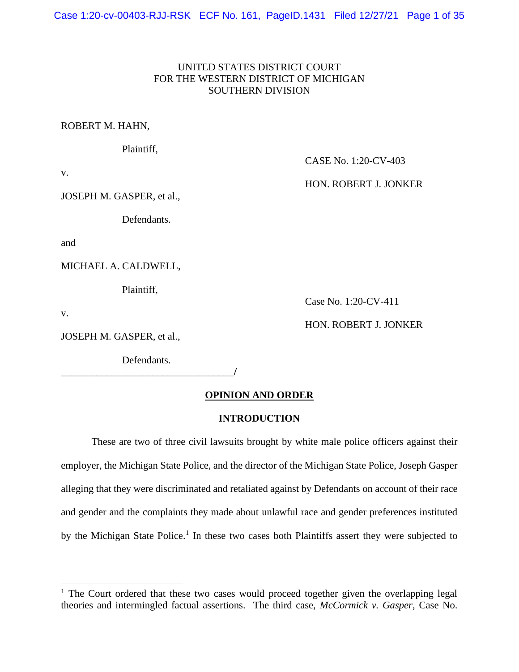Case 1:20-cv-00403-RJJ-RSK ECF No. 161, PageID.1431 Filed 12/27/21 Page 1 of 35

# UNITED STATES DISTRICT COURT FOR THE WESTERN DISTRICT OF MICHIGAN SOUTHERN DIVISION

## ROBERT M. HAHN,

Plaintiff,

CASE No. 1:20-CV-403

v.

JOSEPH M. GASPER, et al.,

Defendants.

and

MICHAEL A. CALDWELL,

Plaintiff,

Case No. 1:20-CV-411

v.

JOSEPH M. GASPER, et al.,

Defendants.

\_\_\_\_\_\_\_\_\_\_\_\_\_\_\_\_\_\_\_\_\_\_\_\_\_\_\_\_\_\_\_\_\_\_**/**

## **OPINION AND ORDER**

# **INTRODUCTION**

These are two of three civil lawsuits brought by white male police officers against their employer, the Michigan State Police, and the director of the Michigan State Police, Joseph Gasper alleging that they were discriminated and retaliated against by Defendants on account of their race and gender and the complaints they made about unlawful race and gender preferences instituted by the Michigan State Police.<sup>1</sup> In these two cases both Plaintiffs assert they were subjected to

HON. ROBERT J. JONKER

# HON. ROBERT J. JONKER

<sup>&</sup>lt;sup>1</sup> The Court ordered that these two cases would proceed together given the overlapping legal theories and intermingled factual assertions. The third case, *McCormick v. Gasper*, Case No.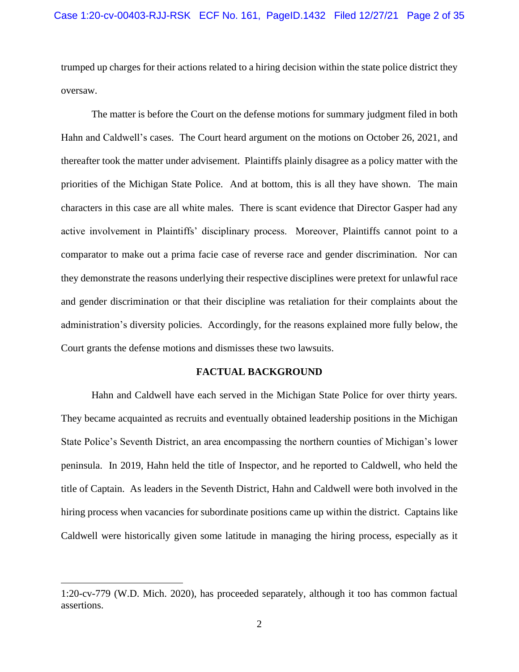trumped up charges for their actions related to a hiring decision within the state police district they oversaw.

The matter is before the Court on the defense motions for summary judgment filed in both Hahn and Caldwell's cases. The Court heard argument on the motions on October 26, 2021, and thereafter took the matter under advisement. Plaintiffs plainly disagree as a policy matter with the priorities of the Michigan State Police. And at bottom, this is all they have shown. The main characters in this case are all white males. There is scant evidence that Director Gasper had any active involvement in Plaintiffs' disciplinary process. Moreover, Plaintiffs cannot point to a comparator to make out a prima facie case of reverse race and gender discrimination. Nor can they demonstrate the reasons underlying their respective disciplines were pretext for unlawful race and gender discrimination or that their discipline was retaliation for their complaints about the administration's diversity policies. Accordingly, for the reasons explained more fully below, the Court grants the defense motions and dismisses these two lawsuits.

#### **FACTUAL BACKGROUND**

Hahn and Caldwell have each served in the Michigan State Police for over thirty years. They became acquainted as recruits and eventually obtained leadership positions in the Michigan State Police's Seventh District, an area encompassing the northern counties of Michigan's lower peninsula. In 2019, Hahn held the title of Inspector, and he reported to Caldwell, who held the title of Captain. As leaders in the Seventh District, Hahn and Caldwell were both involved in the hiring process when vacancies for subordinate positions came up within the district. Captains like Caldwell were historically given some latitude in managing the hiring process, especially as it

<sup>1:20-</sup>cv-779 (W.D. Mich. 2020), has proceeded separately, although it too has common factual assertions.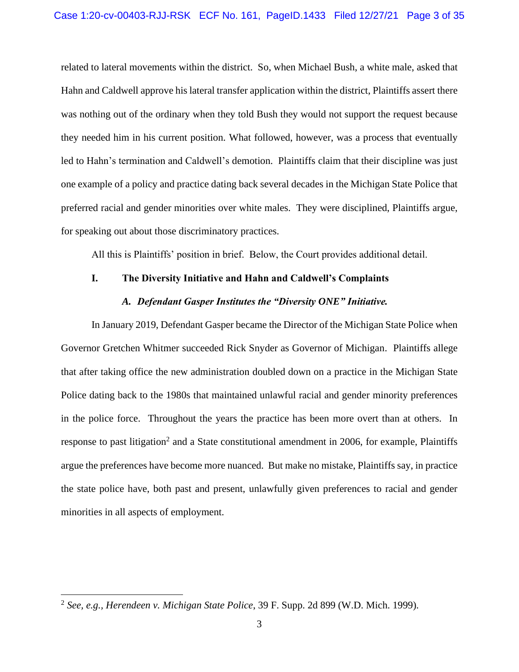related to lateral movements within the district. So, when Michael Bush, a white male, asked that Hahn and Caldwell approve his lateral transfer application within the district, Plaintiffs assert there was nothing out of the ordinary when they told Bush they would not support the request because they needed him in his current position. What followed, however, was a process that eventually led to Hahn's termination and Caldwell's demotion. Plaintiffs claim that their discipline was just one example of a policy and practice dating back several decades in the Michigan State Police that preferred racial and gender minorities over white males. They were disciplined, Plaintiffs argue, for speaking out about those discriminatory practices.

All this is Plaintiffs' position in brief. Below, the Court provides additional detail.

# **I. The Diversity Initiative and Hahn and Caldwell's Complaints**

## *A. Defendant Gasper Institutes the "Diversity ONE" Initiative.*

In January 2019, Defendant Gasper became the Director of the Michigan State Police when Governor Gretchen Whitmer succeeded Rick Snyder as Governor of Michigan. Plaintiffs allege that after taking office the new administration doubled down on a practice in the Michigan State Police dating back to the 1980s that maintained unlawful racial and gender minority preferences in the police force. Throughout the years the practice has been more overt than at others. In response to past litigation<sup>2</sup> and a State constitutional amendment in 2006, for example, Plaintiffs argue the preferences have become more nuanced. But make no mistake, Plaintiffs say, in practice the state police have, both past and present, unlawfully given preferences to racial and gender minorities in all aspects of employment.

<sup>2</sup> *See, e.g., Herendeen v. Michigan State Police*, 39 F. Supp. 2d 899 (W.D. Mich. 1999).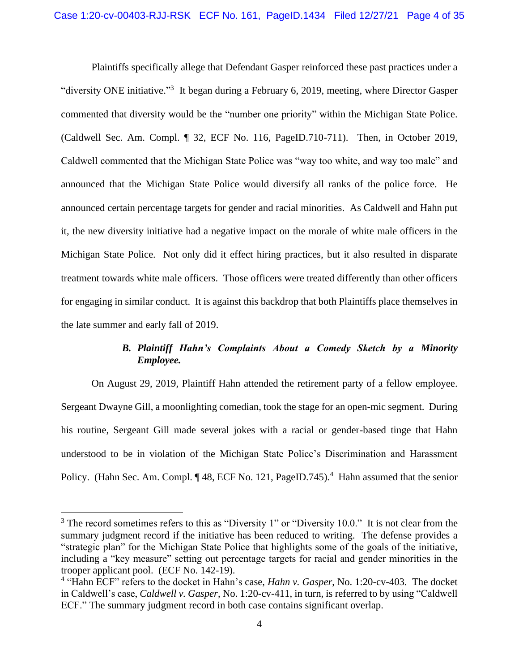Plaintiffs specifically allege that Defendant Gasper reinforced these past practices under a "diversity ONE initiative."<sup>3</sup> It began during a February 6, 2019, meeting, where Director Gasper commented that diversity would be the "number one priority" within the Michigan State Police. (Caldwell Sec. Am. Compl. ¶ 32, ECF No. 116, PageID.710-711). Then, in October 2019, Caldwell commented that the Michigan State Police was "way too white, and way too male" and announced that the Michigan State Police would diversify all ranks of the police force. He announced certain percentage targets for gender and racial minorities. As Caldwell and Hahn put it, the new diversity initiative had a negative impact on the morale of white male officers in the Michigan State Police. Not only did it effect hiring practices, but it also resulted in disparate treatment towards white male officers. Those officers were treated differently than other officers for engaging in similar conduct. It is against this backdrop that both Plaintiffs place themselves in the late summer and early fall of 2019.

# *B. Plaintiff Hahn's Complaints About a Comedy Sketch by a Minority Employee.*

On August 29, 2019, Plaintiff Hahn attended the retirement party of a fellow employee. Sergeant Dwayne Gill, a moonlighting comedian, took the stage for an open-mic segment. During his routine, Sergeant Gill made several jokes with a racial or gender-based tinge that Hahn understood to be in violation of the Michigan State Police's Discrimination and Harassment Policy. (Hahn Sec. Am. Compl. ¶ 48, ECF No. 121, PageID.745).<sup>4</sup> Hahn assumed that the senior

 $3$  The record sometimes refers to this as "Diversity 1" or "Diversity 10.0." It is not clear from the summary judgment record if the initiative has been reduced to writing. The defense provides a "strategic plan" for the Michigan State Police that highlights some of the goals of the initiative, including a "key measure" setting out percentage targets for racial and gender minorities in the trooper applicant pool. (ECF No. 142-19).

<sup>&</sup>lt;sup>4</sup> "Hahn ECF" refers to the docket in Hahn's case, *Hahn v. Gasper*, No. 1:20-cv-403. The docket in Caldwell's case, *Caldwell v. Gasper*, No. 1:20-cv-411, in turn, is referred to by using "Caldwell ECF." The summary judgment record in both case contains significant overlap.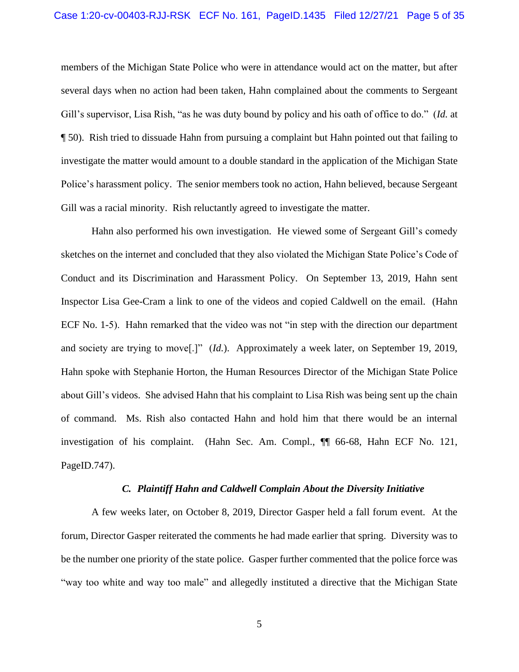members of the Michigan State Police who were in attendance would act on the matter, but after several days when no action had been taken, Hahn complained about the comments to Sergeant Gill's supervisor, Lisa Rish, "as he was duty bound by policy and his oath of office to do." (*Id.* at ¶ 50). Rish tried to dissuade Hahn from pursuing a complaint but Hahn pointed out that failing to investigate the matter would amount to a double standard in the application of the Michigan State Police's harassment policy. The senior members took no action, Hahn believed, because Sergeant Gill was a racial minority. Rish reluctantly agreed to investigate the matter.

Hahn also performed his own investigation. He viewed some of Sergeant Gill's comedy sketches on the internet and concluded that they also violated the Michigan State Police's Code of Conduct and its Discrimination and Harassment Policy. On September 13, 2019, Hahn sent Inspector Lisa Gee-Cram a link to one of the videos and copied Caldwell on the email. (Hahn ECF No. 1-5). Hahn remarked that the video was not "in step with the direction our department and society are trying to move[.]" (*Id.*). Approximately a week later, on September 19, 2019, Hahn spoke with Stephanie Horton, the Human Resources Director of the Michigan State Police about Gill's videos. She advised Hahn that his complaint to Lisa Rish was being sent up the chain of command. Ms. Rish also contacted Hahn and hold him that there would be an internal investigation of his complaint. (Hahn Sec. Am. Compl., ¶¶ 66-68, Hahn ECF No. 121, PageID.747).

### *C. Plaintiff Hahn and Caldwell Complain About the Diversity Initiative*

A few weeks later, on October 8, 2019, Director Gasper held a fall forum event. At the forum, Director Gasper reiterated the comments he had made earlier that spring. Diversity was to be the number one priority of the state police. Gasper further commented that the police force was "way too white and way too male" and allegedly instituted a directive that the Michigan State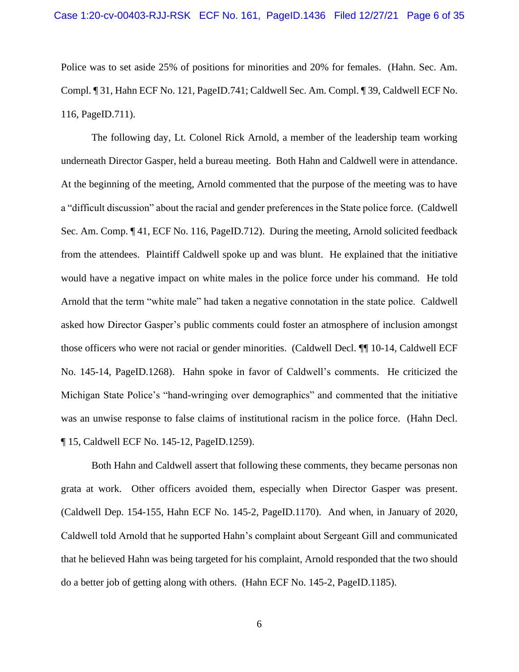Police was to set aside 25% of positions for minorities and 20% for females. (Hahn. Sec. Am. Compl. ¶ 31, Hahn ECF No. 121, PageID.741; Caldwell Sec. Am. Compl. ¶ 39, Caldwell ECF No. 116, PageID.711).

The following day, Lt. Colonel Rick Arnold, a member of the leadership team working underneath Director Gasper, held a bureau meeting. Both Hahn and Caldwell were in attendance. At the beginning of the meeting, Arnold commented that the purpose of the meeting was to have a "difficult discussion" about the racial and gender preferences in the State police force. (Caldwell Sec. Am. Comp. ¶ 41, ECF No. 116, PageID.712). During the meeting, Arnold solicited feedback from the attendees. Plaintiff Caldwell spoke up and was blunt. He explained that the initiative would have a negative impact on white males in the police force under his command. He told Arnold that the term "white male" had taken a negative connotation in the state police. Caldwell asked how Director Gasper's public comments could foster an atmosphere of inclusion amongst those officers who were not racial or gender minorities. (Caldwell Decl. ¶¶ 10-14, Caldwell ECF No. 145-14, PageID.1268). Hahn spoke in favor of Caldwell's comments. He criticized the Michigan State Police's "hand-wringing over demographics" and commented that the initiative was an unwise response to false claims of institutional racism in the police force. (Hahn Decl. ¶ 15, Caldwell ECF No. 145-12, PageID.1259).

Both Hahn and Caldwell assert that following these comments, they became personas non grata at work. Other officers avoided them, especially when Director Gasper was present. (Caldwell Dep. 154-155, Hahn ECF No. 145-2, PageID.1170). And when, in January of 2020, Caldwell told Arnold that he supported Hahn's complaint about Sergeant Gill and communicated that he believed Hahn was being targeted for his complaint, Arnold responded that the two should do a better job of getting along with others. (Hahn ECF No. 145-2, PageID.1185).

6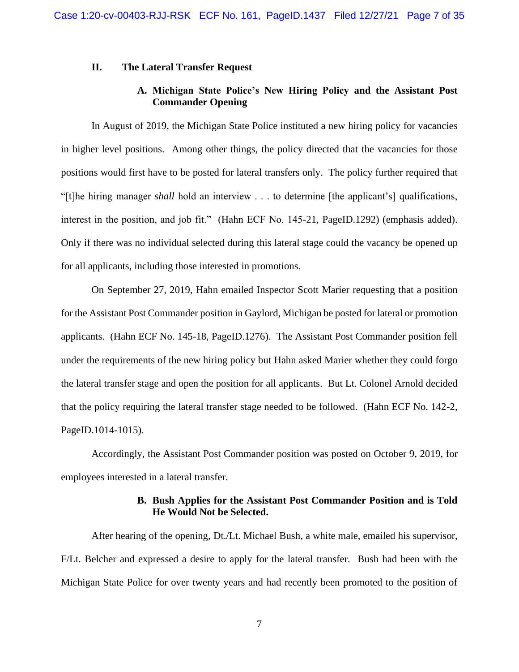# **II. The Lateral Transfer Request**

# **A. Michigan State Police's New Hiring Policy and the Assistant Post Commander Opening**

In August of 2019, the Michigan State Police instituted a new hiring policy for vacancies in higher level positions. Among other things, the policy directed that the vacancies for those positions would first have to be posted for lateral transfers only. The policy further required that "[t]he hiring manager *shall* hold an interview . . . to determine [the applicant's] qualifications, interest in the position, and job fit." (Hahn ECF No. 145-21, PageID.1292) (emphasis added). Only if there was no individual selected during this lateral stage could the vacancy be opened up for all applicants, including those interested in promotions.

On September 27, 2019, Hahn emailed Inspector Scott Marier requesting that a position for the Assistant Post Commander position in Gaylord, Michigan be posted for lateral or promotion applicants. (Hahn ECF No. 145-18, PageID.1276). The Assistant Post Commander position fell under the requirements of the new hiring policy but Hahn asked Marier whether they could forgo the lateral transfer stage and open the position for all applicants. But Lt. Colonel Arnold decided that the policy requiring the lateral transfer stage needed to be followed. (Hahn ECF No. 142-2, PageID.1014-1015).

Accordingly, the Assistant Post Commander position was posted on October 9, 2019, for employees interested in a lateral transfer.

# **B. Bush Applies for the Assistant Post Commander Position and is Told He Would Not be Selected.**

After hearing of the opening, Dt./Lt. Michael Bush, a white male, emailed his supervisor, F/Lt. Belcher and expressed a desire to apply for the lateral transfer. Bush had been with the Michigan State Police for over twenty years and had recently been promoted to the position of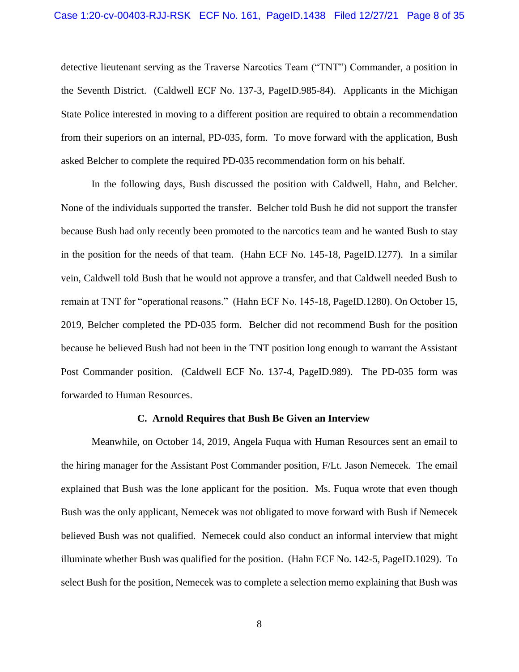detective lieutenant serving as the Traverse Narcotics Team ("TNT") Commander, a position in the Seventh District. (Caldwell ECF No. 137-3, PageID.985-84). Applicants in the Michigan State Police interested in moving to a different position are required to obtain a recommendation from their superiors on an internal, PD-035, form. To move forward with the application, Bush asked Belcher to complete the required PD-035 recommendation form on his behalf.

In the following days, Bush discussed the position with Caldwell, Hahn, and Belcher. None of the individuals supported the transfer. Belcher told Bush he did not support the transfer because Bush had only recently been promoted to the narcotics team and he wanted Bush to stay in the position for the needs of that team. (Hahn ECF No. 145-18, PageID.1277). In a similar vein, Caldwell told Bush that he would not approve a transfer, and that Caldwell needed Bush to remain at TNT for "operational reasons." (Hahn ECF No. 145-18, PageID.1280). On October 15, 2019, Belcher completed the PD-035 form. Belcher did not recommend Bush for the position because he believed Bush had not been in the TNT position long enough to warrant the Assistant Post Commander position. (Caldwell ECF No. 137-4, PageID.989). The PD-035 form was forwarded to Human Resources.

#### **C. Arnold Requires that Bush Be Given an Interview**

Meanwhile, on October 14, 2019, Angela Fuqua with Human Resources sent an email to the hiring manager for the Assistant Post Commander position, F/Lt. Jason Nemecek. The email explained that Bush was the lone applicant for the position. Ms. Fuqua wrote that even though Bush was the only applicant, Nemecek was not obligated to move forward with Bush if Nemecek believed Bush was not qualified. Nemecek could also conduct an informal interview that might illuminate whether Bush was qualified for the position. (Hahn ECF No. 142-5, PageID.1029). To select Bush for the position, Nemecek was to complete a selection memo explaining that Bush was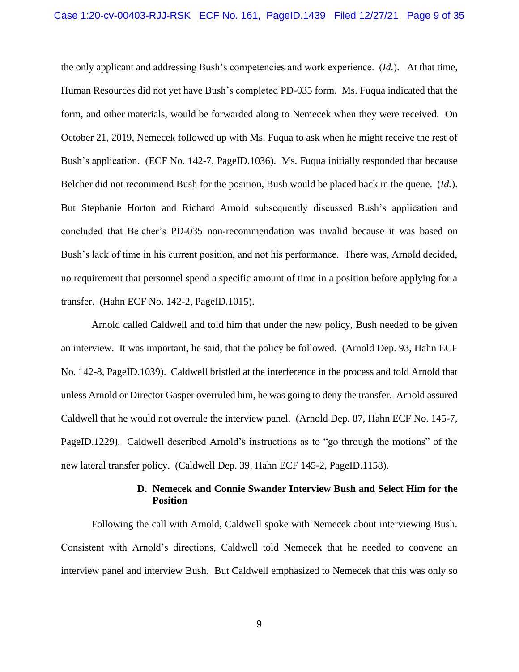the only applicant and addressing Bush's competencies and work experience. (*Id.*). At that time, Human Resources did not yet have Bush's completed PD-035 form. Ms. Fuqua indicated that the form, and other materials, would be forwarded along to Nemecek when they were received. On October 21, 2019, Nemecek followed up with Ms. Fuqua to ask when he might receive the rest of Bush's application. (ECF No. 142-7, PageID.1036). Ms. Fuqua initially responded that because Belcher did not recommend Bush for the position, Bush would be placed back in the queue. (*Id.*). But Stephanie Horton and Richard Arnold subsequently discussed Bush's application and concluded that Belcher's PD-035 non-recommendation was invalid because it was based on Bush's lack of time in his current position, and not his performance. There was, Arnold decided, no requirement that personnel spend a specific amount of time in a position before applying for a transfer. (Hahn ECF No. 142-2, PageID.1015).

Arnold called Caldwell and told him that under the new policy, Bush needed to be given an interview. It was important, he said, that the policy be followed. (Arnold Dep. 93, Hahn ECF No. 142-8, PageID.1039). Caldwell bristled at the interference in the process and told Arnold that unless Arnold or Director Gasper overruled him, he was going to deny the transfer. Arnold assured Caldwell that he would not overrule the interview panel. (Arnold Dep. 87, Hahn ECF No. 145-7, PageID.1229). Caldwell described Arnold's instructions as to "go through the motions" of the new lateral transfer policy. (Caldwell Dep. 39, Hahn ECF 145-2, PageID.1158).

# **D. Nemecek and Connie Swander Interview Bush and Select Him for the Position**

Following the call with Arnold, Caldwell spoke with Nemecek about interviewing Bush. Consistent with Arnold's directions, Caldwell told Nemecek that he needed to convene an interview panel and interview Bush. But Caldwell emphasized to Nemecek that this was only so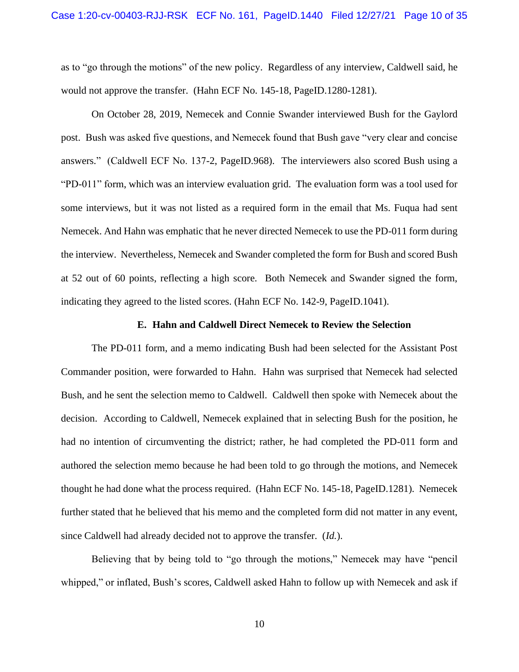as to "go through the motions" of the new policy. Regardless of any interview, Caldwell said, he would not approve the transfer. (Hahn ECF No. 145-18, PageID.1280-1281).

On October 28, 2019, Nemecek and Connie Swander interviewed Bush for the Gaylord post. Bush was asked five questions, and Nemecek found that Bush gave "very clear and concise answers." (Caldwell ECF No. 137-2, PageID.968). The interviewers also scored Bush using a "PD-011" form, which was an interview evaluation grid. The evaluation form was a tool used for some interviews, but it was not listed as a required form in the email that Ms. Fuqua had sent Nemecek. And Hahn was emphatic that he never directed Nemecek to use the PD-011 form during the interview. Nevertheless, Nemecek and Swander completed the form for Bush and scored Bush at 52 out of 60 points, reflecting a high score. Both Nemecek and Swander signed the form, indicating they agreed to the listed scores. (Hahn ECF No. 142-9, PageID.1041).

## **E. Hahn and Caldwell Direct Nemecek to Review the Selection**

The PD-011 form, and a memo indicating Bush had been selected for the Assistant Post Commander position, were forwarded to Hahn. Hahn was surprised that Nemecek had selected Bush, and he sent the selection memo to Caldwell. Caldwell then spoke with Nemecek about the decision. According to Caldwell, Nemecek explained that in selecting Bush for the position, he had no intention of circumventing the district; rather, he had completed the PD-011 form and authored the selection memo because he had been told to go through the motions, and Nemecek thought he had done what the process required. (Hahn ECF No. 145-18, PageID.1281). Nemecek further stated that he believed that his memo and the completed form did not matter in any event, since Caldwell had already decided not to approve the transfer. (*Id.*).

Believing that by being told to "go through the motions," Nemecek may have "pencil whipped," or inflated, Bush's scores, Caldwell asked Hahn to follow up with Nemecek and ask if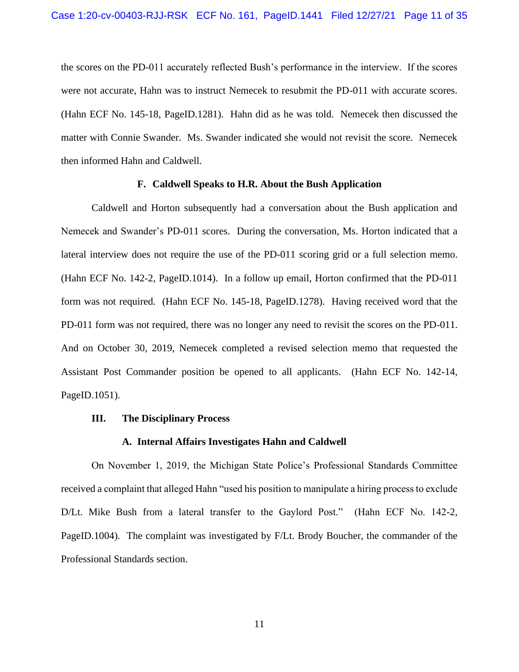the scores on the PD-011 accurately reflected Bush's performance in the interview. If the scores were not accurate, Hahn was to instruct Nemecek to resubmit the PD-011 with accurate scores. (Hahn ECF No. 145-18, PageID.1281). Hahn did as he was told. Nemecek then discussed the matter with Connie Swander. Ms. Swander indicated she would not revisit the score. Nemecek then informed Hahn and Caldwell.

## **F. Caldwell Speaks to H.R. About the Bush Application**

Caldwell and Horton subsequently had a conversation about the Bush application and Nemecek and Swander's PD-011 scores. During the conversation, Ms. Horton indicated that a lateral interview does not require the use of the PD-011 scoring grid or a full selection memo. (Hahn ECF No. 142-2, PageID.1014). In a follow up email, Horton confirmed that the PD-011 form was not required. (Hahn ECF No. 145-18, PageID.1278). Having received word that the PD-011 form was not required, there was no longer any need to revisit the scores on the PD-011. And on October 30, 2019, Nemecek completed a revised selection memo that requested the Assistant Post Commander position be opened to all applicants. (Hahn ECF No. 142-14, PageID.1051).

## **III. The Disciplinary Process**

### **A. Internal Affairs Investigates Hahn and Caldwell**

On November 1, 2019, the Michigan State Police's Professional Standards Committee received a complaint that alleged Hahn "used his position to manipulate a hiring process to exclude D/Lt. Mike Bush from a lateral transfer to the Gaylord Post." (Hahn ECF No. 142-2, PageID.1004). The complaint was investigated by F/Lt. Brody Boucher, the commander of the Professional Standards section.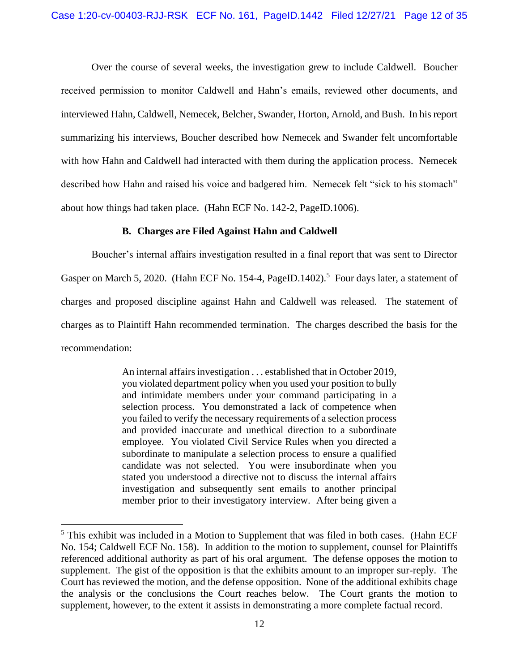Over the course of several weeks, the investigation grew to include Caldwell. Boucher received permission to monitor Caldwell and Hahn's emails, reviewed other documents, and interviewed Hahn, Caldwell, Nemecek, Belcher, Swander, Horton, Arnold, and Bush. In his report summarizing his interviews, Boucher described how Nemecek and Swander felt uncomfortable with how Hahn and Caldwell had interacted with them during the application process. Nemecek described how Hahn and raised his voice and badgered him. Nemecek felt "sick to his stomach" about how things had taken place. (Hahn ECF No. 142-2, PageID.1006).

## **B. Charges are Filed Against Hahn and Caldwell**

Boucher's internal affairs investigation resulted in a final report that was sent to Director Gasper on March 5, 2020. (Hahn ECF No. 154-4, PageID.1402).<sup>5</sup> Four days later, a statement of charges and proposed discipline against Hahn and Caldwell was released. The statement of charges as to Plaintiff Hahn recommended termination. The charges described the basis for the recommendation:

> An internal affairs investigation . . . established that in October 2019, you violated department policy when you used your position to bully and intimidate members under your command participating in a selection process. You demonstrated a lack of competence when you failed to verify the necessary requirements of a selection process and provided inaccurate and unethical direction to a subordinate employee. You violated Civil Service Rules when you directed a subordinate to manipulate a selection process to ensure a qualified candidate was not selected. You were insubordinate when you stated you understood a directive not to discuss the internal affairs investigation and subsequently sent emails to another principal member prior to their investigatory interview. After being given a

<sup>&</sup>lt;sup>5</sup> This exhibit was included in a Motion to Supplement that was filed in both cases. (Hahn ECF No. 154; Caldwell ECF No. 158). In addition to the motion to supplement, counsel for Plaintiffs referenced additional authority as part of his oral argument. The defense opposes the motion to supplement. The gist of the opposition is that the exhibits amount to an improper sur-reply. The Court has reviewed the motion, and the defense opposition. None of the additional exhibits chage the analysis or the conclusions the Court reaches below. The Court grants the motion to supplement, however, to the extent it assists in demonstrating a more complete factual record.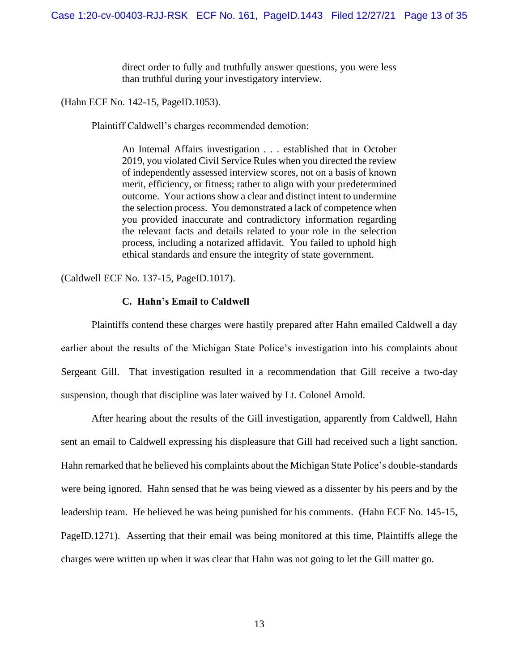direct order to fully and truthfully answer questions, you were less than truthful during your investigatory interview.

(Hahn ECF No. 142-15, PageID.1053).

Plaintiff Caldwell's charges recommended demotion:

An Internal Affairs investigation . . . established that in October 2019, you violated Civil Service Rules when you directed the review of independently assessed interview scores, not on a basis of known merit, efficiency, or fitness; rather to align with your predetermined outcome. Your actions show a clear and distinct intent to undermine the selection process. You demonstrated a lack of competence when you provided inaccurate and contradictory information regarding the relevant facts and details related to your role in the selection process, including a notarized affidavit. You failed to uphold high ethical standards and ensure the integrity of state government.

(Caldwell ECF No. 137-15, PageID.1017).

## **C. Hahn's Email to Caldwell**

Plaintiffs contend these charges were hastily prepared after Hahn emailed Caldwell a day earlier about the results of the Michigan State Police's investigation into his complaints about Sergeant Gill. That investigation resulted in a recommendation that Gill receive a two-day suspension, though that discipline was later waived by Lt. Colonel Arnold.

After hearing about the results of the Gill investigation, apparently from Caldwell, Hahn sent an email to Caldwell expressing his displeasure that Gill had received such a light sanction. Hahn remarked that he believed his complaints about the Michigan State Police's double-standards were being ignored. Hahn sensed that he was being viewed as a dissenter by his peers and by the leadership team. He believed he was being punished for his comments. (Hahn ECF No. 145-15, PageID.1271). Asserting that their email was being monitored at this time, Plaintiffs allege the charges were written up when it was clear that Hahn was not going to let the Gill matter go.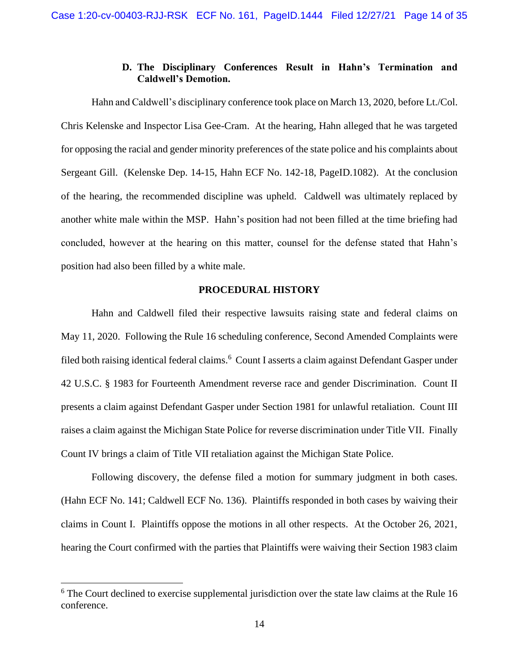# **D. The Disciplinary Conferences Result in Hahn's Termination and Caldwell's Demotion.**

Hahn and Caldwell's disciplinary conference took place on March 13, 2020, before Lt./Col. Chris Kelenske and Inspector Lisa Gee-Cram. At the hearing, Hahn alleged that he was targeted for opposing the racial and gender minority preferences of the state police and his complaints about Sergeant Gill. (Kelenske Dep. 14-15, Hahn ECF No. 142-18, PageID.1082). At the conclusion of the hearing, the recommended discipline was upheld. Caldwell was ultimately replaced by another white male within the MSP. Hahn's position had not been filled at the time briefing had concluded, however at the hearing on this matter, counsel for the defense stated that Hahn's position had also been filled by a white male.

# **PROCEDURAL HISTORY**

Hahn and Caldwell filed their respective lawsuits raising state and federal claims on May 11, 2020. Following the Rule 16 scheduling conference, Second Amended Complaints were filed both raising identical federal claims.<sup>6</sup> Count I asserts a claim against Defendant Gasper under 42 U.S.C. § 1983 for Fourteenth Amendment reverse race and gender Discrimination. Count II presents a claim against Defendant Gasper under Section 1981 for unlawful retaliation. Count III raises a claim against the Michigan State Police for reverse discrimination under Title VII. Finally Count IV brings a claim of Title VII retaliation against the Michigan State Police.

Following discovery, the defense filed a motion for summary judgment in both cases. (Hahn ECF No. 141; Caldwell ECF No. 136). Plaintiffs responded in both cases by waiving their claims in Count I. Plaintiffs oppose the motions in all other respects. At the October 26, 2021, hearing the Court confirmed with the parties that Plaintiffs were waiving their Section 1983 claim

<sup>&</sup>lt;sup>6</sup> The Court declined to exercise supplemental jurisdiction over the state law claims at the Rule 16 conference.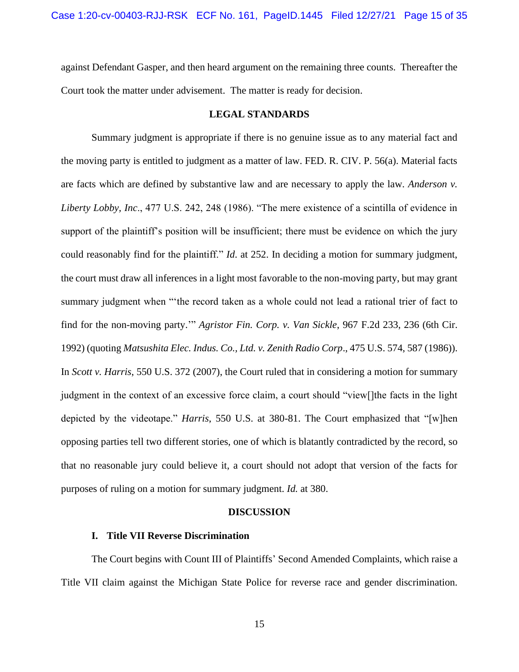against Defendant Gasper, and then heard argument on the remaining three counts. Thereafter the Court took the matter under advisement. The matter is ready for decision.

## **LEGAL STANDARDS**

Summary judgment is appropriate if there is no genuine issue as to any material fact and the moving party is entitled to judgment as a matter of law. FED. R. CIV. P. 56(a). Material facts are facts which are defined by substantive law and are necessary to apply the law. *Anderson v. Liberty Lobby, Inc*., 477 U.S. 242, 248 (1986). "The mere existence of a scintilla of evidence in support of the plaintiff's position will be insufficient; there must be evidence on which the jury could reasonably find for the plaintiff." *Id*. at 252. In deciding a motion for summary judgment, the court must draw all inferences in a light most favorable to the non-moving party, but may grant summary judgment when "'the record taken as a whole could not lead a rational trier of fact to find for the non-moving party.'" *Agristor Fin. Corp. v. Van Sickle*, 967 F.2d 233, 236 (6th Cir. 1992) (quoting *Matsushita Elec. Indus. Co., Ltd. v. Zenith Radio Corp*., 475 U.S. 574, 587 (1986)). In *Scott v. Harris*, 550 U.S. 372 (2007), the Court ruled that in considering a motion for summary judgment in the context of an excessive force claim, a court should "view[]the facts in the light depicted by the videotape." *Harris*, 550 U.S. at 380-81. The Court emphasized that "[w]hen opposing parties tell two different stories, one of which is blatantly contradicted by the record, so that no reasonable jury could believe it, a court should not adopt that version of the facts for purposes of ruling on a motion for summary judgment. *Id.* at 380.

### **DISCUSSION**

#### **I. Title VII Reverse Discrimination**

The Court begins with Count III of Plaintiffs' Second Amended Complaints, which raise a Title VII claim against the Michigan State Police for reverse race and gender discrimination.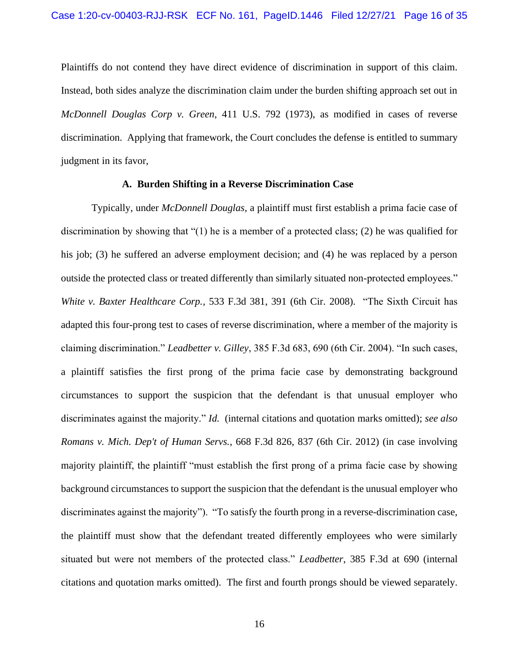Plaintiffs do not contend they have direct evidence of discrimination in support of this claim. Instead, both sides analyze the discrimination claim under the burden shifting approach set out in *McDonnell Douglas Corp v. Green*, 411 U.S. 792 (1973), as modified in cases of reverse discrimination. Applying that framework, the Court concludes the defense is entitled to summary judgment in its favor,

## **A. Burden Shifting in a Reverse Discrimination Case**

Typically, under *McDonnell Douglas*, a plaintiff must first establish a prima facie case of discrimination by showing that "(1) he is a member of a protected class; (2) he was qualified for his job; (3) he suffered an adverse employment decision; and (4) he was replaced by a person outside the protected class or treated differently than similarly situated non-protected employees." *White v. Baxter Healthcare Corp.*, 533 F.3d 381, 391 (6th Cir. 2008). "The Sixth Circuit has adapted this four-prong test to cases of reverse discrimination, where a member of the majority is claiming discrimination." *Leadbetter v. Gilley*, 385 F.3d 683, 690 (6th Cir. 2004). "In such cases, a plaintiff satisfies the first prong of the prima facie case by demonstrating background circumstances to support the suspicion that the defendant is that unusual employer who discriminates against the majority." *Id.* (internal citations and quotation marks omitted); *see also Romans v. Mich. Dep't of Human Servs.*, 668 F.3d 826, 837 (6th Cir. 2012) (in case involving majority plaintiff, the plaintiff "must establish the first prong of a prima facie case by showing background circumstances to support the suspicion that the defendant is the unusual employer who discriminates against the majority"). "To satisfy the fourth prong in a reverse-discrimination case, the plaintiff must show that the defendant treated differently employees who were similarly situated but were not members of the protected class." *Leadbetter*, 385 F.3d at 690 (internal citations and quotation marks omitted). The first and fourth prongs should be viewed separately.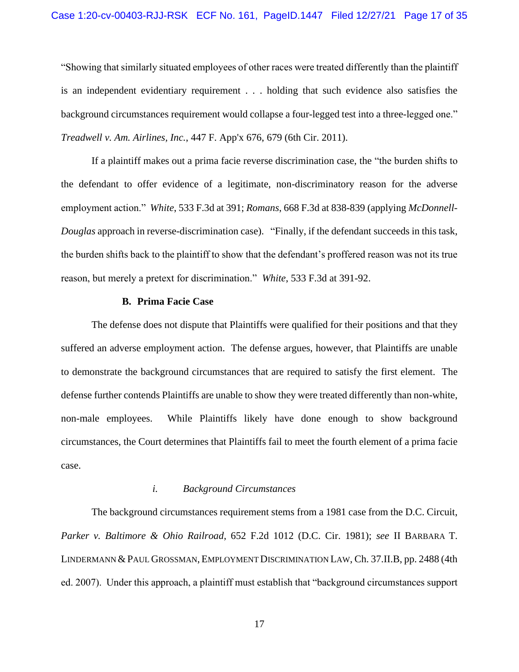"Showing that similarly situated employees of other races were treated differently than the plaintiff is an independent evidentiary requirement . . . holding that such evidence also satisfies the background circumstances requirement would collapse a four-legged test into a three-legged one." *Treadwell v. Am. Airlines, Inc.*, 447 F. App'x 676, 679 (6th Cir. 2011).

If a plaintiff makes out a prima facie reverse discrimination case, the "the burden shifts to the defendant to offer evidence of a legitimate, non-discriminatory reason for the adverse employment action." *White*, 533 F.3d at 391; *Romans*, 668 F.3d at 838-839 (applying *McDonnell-Douglas* approach in reverse-discrimination case). "Finally, if the defendant succeeds in this task, the burden shifts back to the plaintiff to show that the defendant's proffered reason was not its true reason, but merely a pretext for discrimination." *White*, 533 F.3d at 391-92.

### **B. Prima Facie Case**

The defense does not dispute that Plaintiffs were qualified for their positions and that they suffered an adverse employment action. The defense argues, however, that Plaintiffs are unable to demonstrate the background circumstances that are required to satisfy the first element. The defense further contends Plaintiffs are unable to show they were treated differently than non-white, non-male employees. While Plaintiffs likely have done enough to show background circumstances, the Court determines that Plaintiffs fail to meet the fourth element of a prima facie case.

#### *i. Background Circumstances*

The background circumstances requirement stems from a 1981 case from the D.C. Circuit, *Parker v. Baltimore & Ohio Railroad*, 652 F.2d 1012 (D.C. Cir. 1981); *see* II BARBARA T. LINDERMANN & PAUL GROSSMAN, EMPLOYMENT DISCRIMINATION LAW, Ch. 37.II.B, pp. 2488 (4th ed. 2007). Under this approach, a plaintiff must establish that "background circumstances support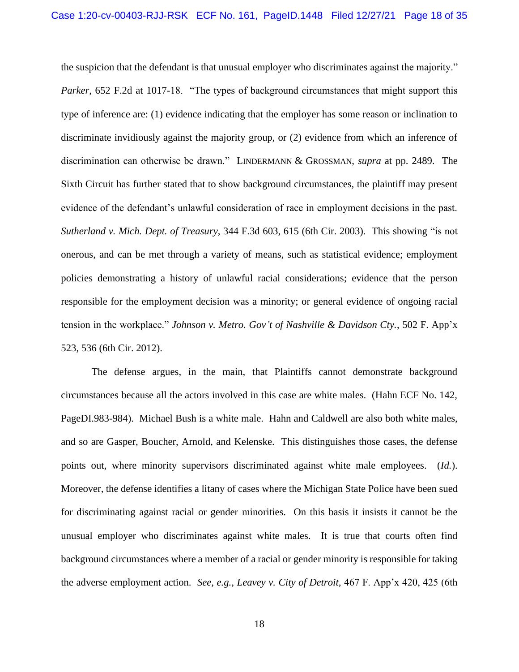the suspicion that the defendant is that unusual employer who discriminates against the majority." *Parker*, 652 F.2d at 1017-18. "The types of background circumstances that might support this type of inference are: (1) evidence indicating that the employer has some reason or inclination to discriminate invidiously against the majority group, or (2) evidence from which an inference of discrimination can otherwise be drawn." LINDERMANN & GROSSMAN, *supra* at pp. 2489. The Sixth Circuit has further stated that to show background circumstances, the plaintiff may present evidence of the defendant's unlawful consideration of race in employment decisions in the past. *Sutherland v. Mich. Dept. of Treasury*, 344 F.3d 603, 615 (6th Cir. 2003). This showing "is not onerous, and can be met through a variety of means, such as statistical evidence; employment policies demonstrating a history of unlawful racial considerations; evidence that the person responsible for the employment decision was a minority; or general evidence of ongoing racial tension in the workplace." *Johnson v. Metro. Gov't of Nashville & Davidson Cty.*, 502 F. App'x 523, 536 (6th Cir. 2012).

The defense argues, in the main, that Plaintiffs cannot demonstrate background circumstances because all the actors involved in this case are white males. (Hahn ECF No. 142, PageDI.983-984). Michael Bush is a white male. Hahn and Caldwell are also both white males, and so are Gasper, Boucher, Arnold, and Kelenske. This distinguishes those cases, the defense points out, where minority supervisors discriminated against white male employees. (*Id.*). Moreover, the defense identifies a litany of cases where the Michigan State Police have been sued for discriminating against racial or gender minorities. On this basis it insists it cannot be the unusual employer who discriminates against white males. It is true that courts often find background circumstances where a member of a racial or gender minority is responsible for taking the adverse employment action. *See, e.g.*, *Leavey v. City of Detroit,* 467 F. App'x 420, 425 (6th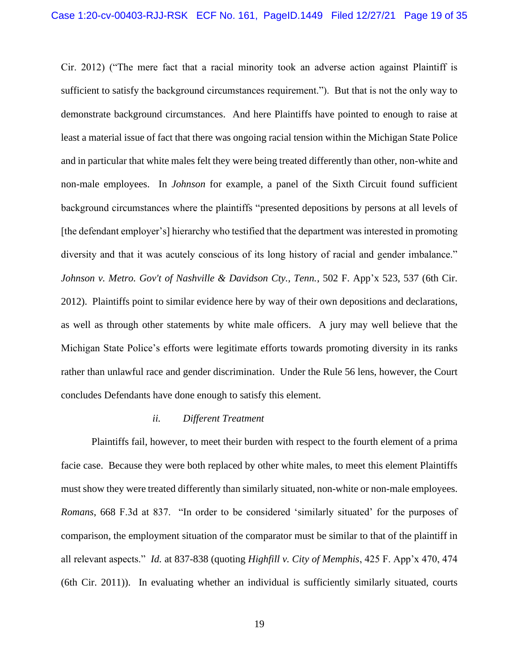Cir. 2012) ("The mere fact that a racial minority took an adverse action against Plaintiff is sufficient to satisfy the background circumstances requirement."). But that is not the only way to demonstrate background circumstances. And here Plaintiffs have pointed to enough to raise at least a material issue of fact that there was ongoing racial tension within the Michigan State Police and in particular that white males felt they were being treated differently than other, non-white and non-male employees. In *Johnson* for example, a panel of the Sixth Circuit found sufficient background circumstances where the plaintiffs "presented depositions by persons at all levels of [the defendant employer's] hierarchy who testified that the department was interested in promoting diversity and that it was acutely conscious of its long history of racial and gender imbalance." *Johnson v. Metro. Gov't of Nashville & Davidson Cty., Tenn.*, 502 F. App'x 523, 537 (6th Cir. 2012). Plaintiffs point to similar evidence here by way of their own depositions and declarations, as well as through other statements by white male officers. A jury may well believe that the Michigan State Police's efforts were legitimate efforts towards promoting diversity in its ranks rather than unlawful race and gender discrimination. Under the Rule 56 lens, however, the Court concludes Defendants have done enough to satisfy this element.

### *ii. Different Treatment*

Plaintiffs fail, however, to meet their burden with respect to the fourth element of a prima facie case. Because they were both replaced by other white males, to meet this element Plaintiffs must show they were treated differently than similarly situated, non-white or non-male employees. *Romans*, 668 F.3d at 837. "In order to be considered 'similarly situated' for the purposes of comparison, the employment situation of the comparator must be similar to that of the plaintiff in all relevant aspects." *Id.* at 837-838 (quoting *Highfill v. City of Memphis*, 425 F. App'x 470, 474 (6th Cir. 2011)). In evaluating whether an individual is sufficiently similarly situated, courts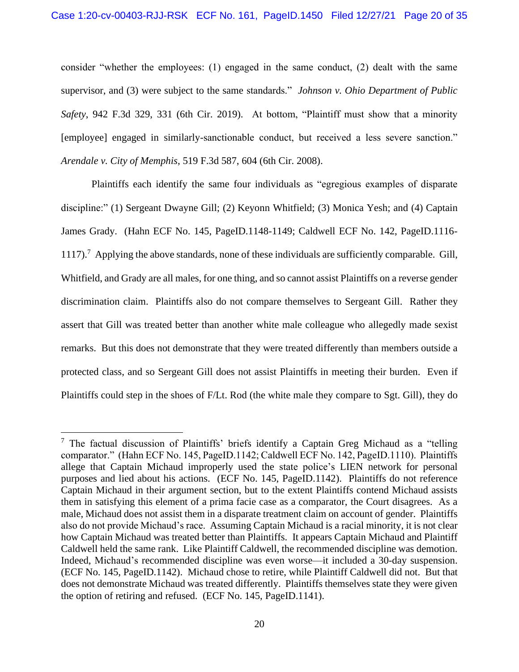consider "whether the employees: (1) engaged in the same conduct, (2) dealt with the same supervisor, and (3) were subject to the same standards." *Johnson v. Ohio Department of Public Safety*, 942 F.3d 329, 331 (6th Cir. 2019). At bottom, "Plaintiff must show that a minority [employee] engaged in similarly-sanctionable conduct, but received a less severe sanction." *Arendale v. City of Memphis*, 519 F.3d 587, 604 (6th Cir. 2008).

Plaintiffs each identify the same four individuals as "egregious examples of disparate discipline:" (1) Sergeant Dwayne Gill; (2) Keyonn Whitfield; (3) Monica Yesh; and (4) Captain James Grady. (Hahn ECF No. 145, PageID.1148-1149; Caldwell ECF No. 142, PageID.1116-  $1117$ ).<sup>7</sup> Applying the above standards, none of these individuals are sufficiently comparable. Gill, Whitfield, and Grady are all males, for one thing, and so cannot assist Plaintiffs on a reverse gender discrimination claim. Plaintiffs also do not compare themselves to Sergeant Gill. Rather they assert that Gill was treated better than another white male colleague who allegedly made sexist remarks. But this does not demonstrate that they were treated differently than members outside a protected class, and so Sergeant Gill does not assist Plaintiffs in meeting their burden. Even if Plaintiffs could step in the shoes of F/Lt. Rod (the white male they compare to Sgt. Gill), they do

<sup>7</sup> The factual discussion of Plaintiffs' briefs identify a Captain Greg Michaud as a "telling comparator." (Hahn ECF No. 145, PageID.1142; Caldwell ECF No. 142, PageID.1110). Plaintiffs allege that Captain Michaud improperly used the state police's LIEN network for personal purposes and lied about his actions. (ECF No. 145, PageID.1142). Plaintiffs do not reference Captain Michaud in their argument section, but to the extent Plaintiffs contend Michaud assists them in satisfying this element of a prima facie case as a comparator, the Court disagrees. As a male, Michaud does not assist them in a disparate treatment claim on account of gender. Plaintiffs also do not provide Michaud's race. Assuming Captain Michaud is a racial minority, it is not clear how Captain Michaud was treated better than Plaintiffs. It appears Captain Michaud and Plaintiff Caldwell held the same rank. Like Plaintiff Caldwell, the recommended discipline was demotion. Indeed, Michaud's recommended discipline was even worse—it included a 30-day suspension. (ECF No. 145, PageID.1142). Michaud chose to retire, while Plaintiff Caldwell did not. But that does not demonstrate Michaud was treated differently. Plaintiffs themselves state they were given the option of retiring and refused. (ECF No. 145, PageID.1141).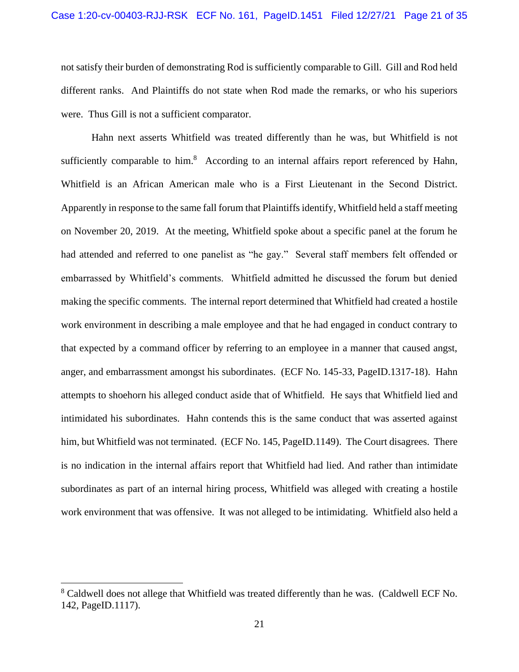not satisfy their burden of demonstrating Rod is sufficiently comparable to Gill. Gill and Rod held different ranks. And Plaintiffs do not state when Rod made the remarks, or who his superiors were. Thus Gill is not a sufficient comparator.

Hahn next asserts Whitfield was treated differently than he was, but Whitfield is not sufficiently comparable to him.<sup>8</sup> According to an internal affairs report referenced by Hahn, Whitfield is an African American male who is a First Lieutenant in the Second District. Apparently in response to the same fall forum that Plaintiffs identify, Whitfield held a staff meeting on November 20, 2019. At the meeting, Whitfield spoke about a specific panel at the forum he had attended and referred to one panelist as "he gay." Several staff members felt offended or embarrassed by Whitfield's comments. Whitfield admitted he discussed the forum but denied making the specific comments. The internal report determined that Whitfield had created a hostile work environment in describing a male employee and that he had engaged in conduct contrary to that expected by a command officer by referring to an employee in a manner that caused angst, anger, and embarrassment amongst his subordinates. (ECF No. 145-33, PageID.1317-18). Hahn attempts to shoehorn his alleged conduct aside that of Whitfield. He says that Whitfield lied and intimidated his subordinates. Hahn contends this is the same conduct that was asserted against him, but Whitfield was not terminated. (ECF No. 145, PageID.1149). The Court disagrees. There is no indication in the internal affairs report that Whitfield had lied. And rather than intimidate subordinates as part of an internal hiring process, Whitfield was alleged with creating a hostile work environment that was offensive. It was not alleged to be intimidating. Whitfield also held a

<sup>&</sup>lt;sup>8</sup> Caldwell does not allege that Whitfield was treated differently than he was. (Caldwell ECF No. 142, PageID.1117).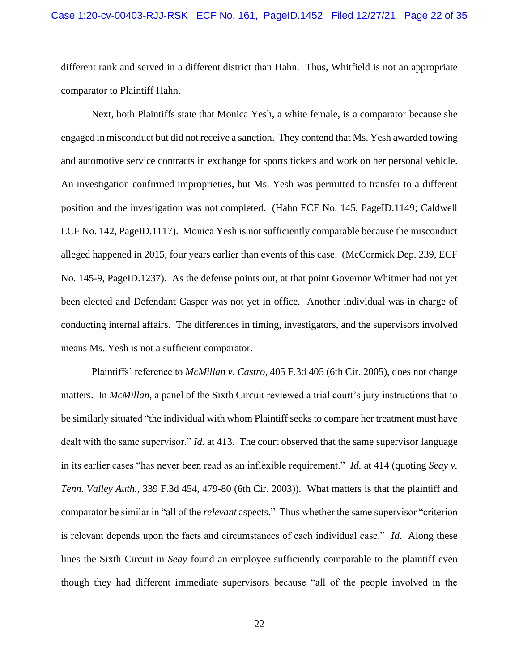### Case 1:20-cv-00403-RJJ-RSK ECF No. 161, PageID.1452 Filed 12/27/21 Page 22 of 35

different rank and served in a different district than Hahn. Thus, Whitfield is not an appropriate comparator to Plaintiff Hahn.

Next, both Plaintiffs state that Monica Yesh, a white female, is a comparator because she engaged in misconduct but did not receive a sanction. They contend that Ms. Yesh awarded towing and automotive service contracts in exchange for sports tickets and work on her personal vehicle. An investigation confirmed improprieties, but Ms. Yesh was permitted to transfer to a different position and the investigation was not completed. (Hahn ECF No. 145, PageID.1149; Caldwell ECF No. 142, PageID.1117). Monica Yesh is not sufficiently comparable because the misconduct alleged happened in 2015, four years earlier than events of this case. (McCormick Dep. 239, ECF No. 145-9, PageID.1237). As the defense points out, at that point Governor Whitmer had not yet been elected and Defendant Gasper was not yet in office. Another individual was in charge of conducting internal affairs. The differences in timing, investigators, and the supervisors involved means Ms. Yesh is not a sufficient comparator.

Plaintiffs' reference to *McMillan v. Castro*, 405 F.3d 405 (6th Cir. 2005), does not change matters. In *McMillan*, a panel of the Sixth Circuit reviewed a trial court's jury instructions that to be similarly situated "the individual with whom Plaintiff seeks to compare her treatment must have dealt with the same supervisor." *Id.* at 413. The court observed that the same supervisor language in its earlier cases "has never been read as an inflexible requirement." *Id.* at 414 (quoting *Seay v. Tenn. Valley Auth.,* 339 F.3d 454, 479-80 (6th Cir. 2003)). What matters is that the plaintiff and comparator be similar in "all of the *relevant* aspects." Thus whether the same supervisor "criterion is relevant depends upon the facts and circumstances of each individual case." *Id.* Along these lines the Sixth Circuit in *Seay* found an employee sufficiently comparable to the plaintiff even though they had different immediate supervisors because "all of the people involved in the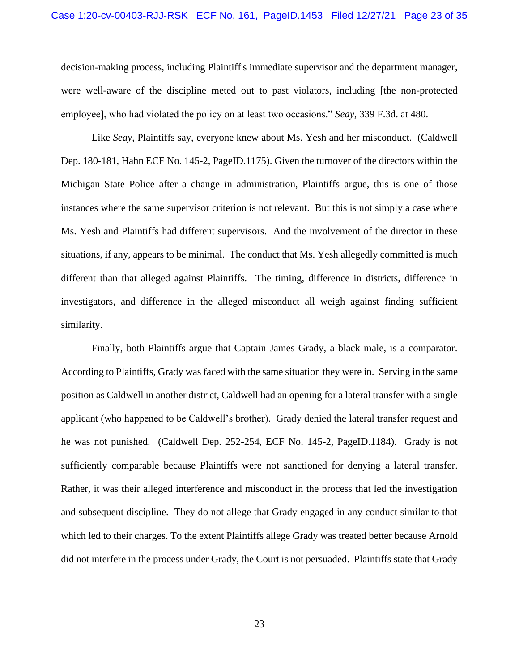decision-making process, including Plaintiff's immediate supervisor and the department manager, were well-aware of the discipline meted out to past violators, including [the non-protected employee], who had violated the policy on at least two occasions." *Seay*, 339 F.3d. at 480.

Like *Seay*, Plaintiffs say, everyone knew about Ms. Yesh and her misconduct. (Caldwell Dep. 180-181, Hahn ECF No. 145-2, PageID.1175). Given the turnover of the directors within the Michigan State Police after a change in administration, Plaintiffs argue, this is one of those instances where the same supervisor criterion is not relevant. But this is not simply a case where Ms. Yesh and Plaintiffs had different supervisors. And the involvement of the director in these situations, if any, appears to be minimal. The conduct that Ms. Yesh allegedly committed is much different than that alleged against Plaintiffs. The timing, difference in districts, difference in investigators, and difference in the alleged misconduct all weigh against finding sufficient similarity.

Finally, both Plaintiffs argue that Captain James Grady, a black male, is a comparator. According to Plaintiffs, Grady was faced with the same situation they were in. Serving in the same position as Caldwell in another district, Caldwell had an opening for a lateral transfer with a single applicant (who happened to be Caldwell's brother). Grady denied the lateral transfer request and he was not punished. (Caldwell Dep. 252-254, ECF No. 145-2, PageID.1184). Grady is not sufficiently comparable because Plaintiffs were not sanctioned for denying a lateral transfer. Rather, it was their alleged interference and misconduct in the process that led the investigation and subsequent discipline. They do not allege that Grady engaged in any conduct similar to that which led to their charges. To the extent Plaintiffs allege Grady was treated better because Arnold did not interfere in the process under Grady, the Court is not persuaded. Plaintiffs state that Grady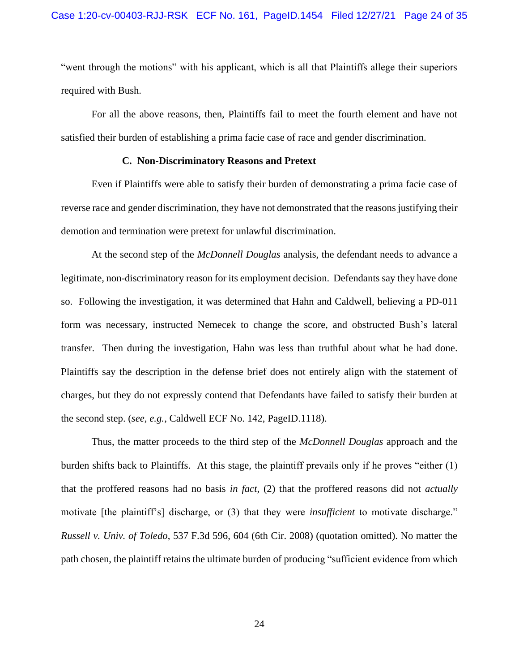"went through the motions" with his applicant, which is all that Plaintiffs allege their superiors required with Bush.

For all the above reasons, then, Plaintiffs fail to meet the fourth element and have not satisfied their burden of establishing a prima facie case of race and gender discrimination.

## **C. Non-Discriminatory Reasons and Pretext**

Even if Plaintiffs were able to satisfy their burden of demonstrating a prima facie case of reverse race and gender discrimination, they have not demonstrated that the reasons justifying their demotion and termination were pretext for unlawful discrimination.

At the second step of the *McDonnell Douglas* analysis, the defendant needs to advance a legitimate, non-discriminatory reason for its employment decision. Defendants say they have done so. Following the investigation, it was determined that Hahn and Caldwell, believing a PD-011 form was necessary, instructed Nemecek to change the score, and obstructed Bush's lateral transfer. Then during the investigation, Hahn was less than truthful about what he had done. Plaintiffs say the description in the defense brief does not entirely align with the statement of charges, but they do not expressly contend that Defendants have failed to satisfy their burden at the second step. (*see, e.g.,* Caldwell ECF No. 142, PageID.1118).

Thus, the matter proceeds to the third step of the *McDonnell Douglas* approach and the burden shifts back to Plaintiffs. At this stage, the plaintiff prevails only if he proves "either (1) that the proffered reasons had no basis *in fact*, (2) that the proffered reasons did not *actually* motivate [the plaintiff's] discharge, or (3) that they were *insufficient* to motivate discharge." *Russell v. Univ. of Toledo*, 537 F.3d 596, 604 (6th Cir. 2008) (quotation omitted). No matter the path chosen, the plaintiff retains the ultimate burden of producing "sufficient evidence from which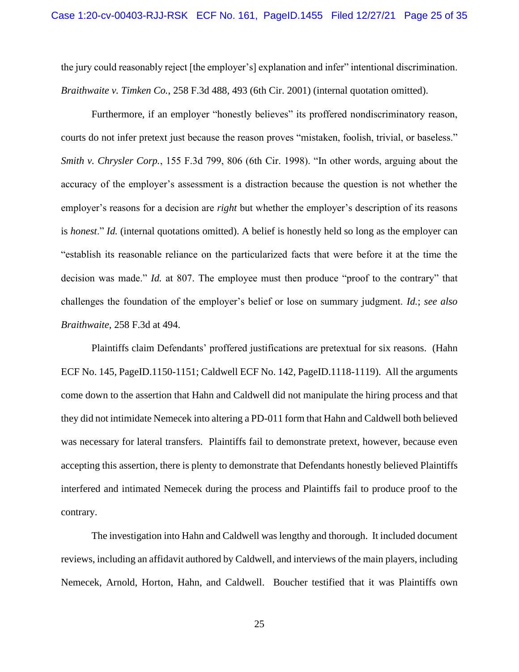the jury could reasonably reject [the employer's] explanation and infer" intentional discrimination. *Braithwaite v. Timken Co.*, 258 F.3d 488, 493 (6th Cir. 2001) (internal quotation omitted).

Furthermore, if an employer "honestly believes" its proffered nondiscriminatory reason, courts do not infer pretext just because the reason proves "mistaken, foolish, trivial, or baseless." *Smith v. Chrysler Corp.*, 155 F.3d 799, 806 (6th Cir. 1998). "In other words, arguing about the accuracy of the employer's assessment is a distraction because the question is not whether the employer's reasons for a decision are *right* but whether the employer's description of its reasons is *honest*." *[Id.](https://1.next.westlaw.com/Link/Document/FullText?findType=Y&serNum=1998190344&pubNum=0000506&originatingDoc=Ic22f5a30204b11e9aec5b23c3317c9c0&refType=RP&originationContext=document&transitionType=DocumentItem&ppcid=7c1b36b88b4f4407b7594fa5603a8e43&contextData=(sc.Search))* (internal quotations omitted). A belief is honestly held so long as the employer can "establish its reasonable reliance on the particularized facts that were before it at the time the decision was made." *Id.* at 807. The employee must then produce "proof to the contrary" that challenges the foundation of the employer's belief or lose on summary judgment. *[Id.](https://1.next.westlaw.com/Link/Document/FullText?findType=Y&serNum=1998190344&pubNum=0000506&originatingDoc=Ic22f5a30204b11e9aec5b23c3317c9c0&refType=RP&originationContext=document&transitionType=DocumentItem&ppcid=7c1b36b88b4f4407b7594fa5603a8e43&contextData=(sc.Search))*; *see also Braithwaite*, 258 F.3d at 494.

Plaintiffs claim Defendants' proffered justifications are pretextual for six reasons. (Hahn ECF No. 145, PageID.1150-1151; Caldwell ECF No. 142, PageID.1118-1119). All the arguments come down to the assertion that Hahn and Caldwell did not manipulate the hiring process and that they did not intimidate Nemecek into altering a PD-011 form that Hahn and Caldwell both believed was necessary for lateral transfers. Plaintiffs fail to demonstrate pretext, however, because even accepting this assertion, there is plenty to demonstrate that Defendants honestly believed Plaintiffs interfered and intimated Nemecek during the process and Plaintiffs fail to produce proof to the contrary.

The investigation into Hahn and Caldwell was lengthy and thorough. It included document reviews, including an affidavit authored by Caldwell, and interviews of the main players, including Nemecek, Arnold, Horton, Hahn, and Caldwell. Boucher testified that it was Plaintiffs own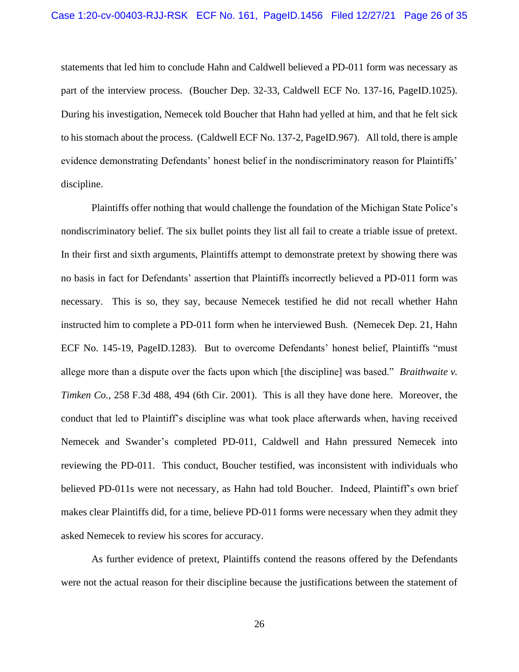statements that led him to conclude Hahn and Caldwell believed a PD-011 form was necessary as part of the interview process. (Boucher Dep. 32-33, Caldwell ECF No. 137-16, PageID.1025). During his investigation, Nemecek told Boucher that Hahn had yelled at him, and that he felt sick to his stomach about the process. (Caldwell ECF No. 137-2, PageID.967). All told, there is ample evidence demonstrating Defendants' honest belief in the nondiscriminatory reason for Plaintiffs' discipline.

Plaintiffs offer nothing that would challenge the foundation of the Michigan State Police's nondiscriminatory belief. The six bullet points they list all fail to create a triable issue of pretext. In their first and sixth arguments, Plaintiffs attempt to demonstrate pretext by showing there was no basis in fact for Defendants' assertion that Plaintiffs incorrectly believed a PD-011 form was necessary. This is so, they say, because Nemecek testified he did not recall whether Hahn instructed him to complete a PD-011 form when he interviewed Bush. (Nemecek Dep. 21, Hahn ECF No. 145-19, PageID.1283). But to overcome Defendants' honest belief, Plaintiffs "must allege more than a dispute over the facts upon which [the discipline] was based." *Braithwaite v. Timken Co.*, 258 F.3d 488, 494 (6th Cir. 2001). This is all they have done here. Moreover, the conduct that led to Plaintiff's discipline was what took place afterwards when, having received Nemecek and Swander's completed PD-011, Caldwell and Hahn pressured Nemecek into reviewing the PD-011. This conduct, Boucher testified, was inconsistent with individuals who believed PD-011s were not necessary, as Hahn had told Boucher. Indeed, Plaintiff's own brief makes clear Plaintiffs did, for a time, believe PD-011 forms were necessary when they admit they asked Nemecek to review his scores for accuracy.

As further evidence of pretext, Plaintiffs contend the reasons offered by the Defendants were not the actual reason for their discipline because the justifications between the statement of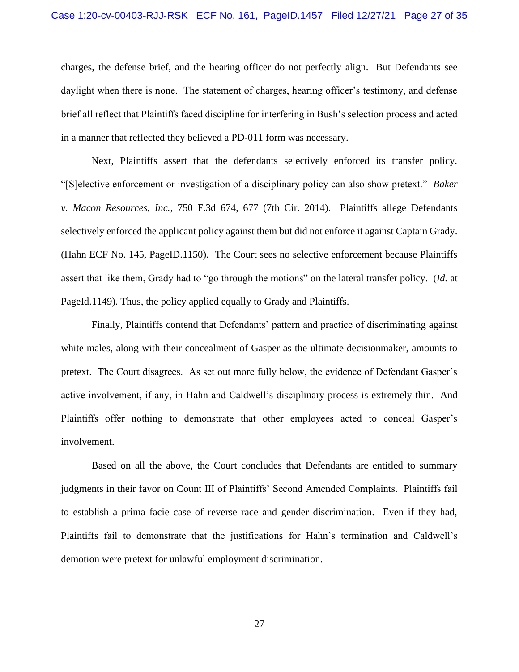### Case 1:20-cv-00403-RJJ-RSK ECF No. 161, PageID.1457 Filed 12/27/21 Page 27 of 35

charges, the defense brief, and the hearing officer do not perfectly align. But Defendants see daylight when there is none. The statement of charges, hearing officer's testimony, and defense brief all reflect that Plaintiffs faced discipline for interfering in Bush's selection process and acted in a manner that reflected they believed a PD-011 form was necessary.

Next, Plaintiffs assert that the defendants selectively enforced its transfer policy. "[S]elective enforcement or investigation of a disciplinary policy can also show pretext." *Baker v. Macon Resources, Inc.*, 750 F.3d 674, 677 (7th Cir. 2014). Plaintiffs allege Defendants selectively enforced the applicant policy against them but did not enforce it against Captain Grady. (Hahn ECF No. 145, PageID.1150). The Court sees no selective enforcement because Plaintiffs assert that like them, Grady had to "go through the motions" on the lateral transfer policy. (*Id.* at PageId.1149). Thus, the policy applied equally to Grady and Plaintiffs.

Finally, Plaintiffs contend that Defendants' pattern and practice of discriminating against white males, along with their concealment of Gasper as the ultimate decisionmaker, amounts to pretext. The Court disagrees. As set out more fully below, the evidence of Defendant Gasper's active involvement, if any, in Hahn and Caldwell's disciplinary process is extremely thin. And Plaintiffs offer nothing to demonstrate that other employees acted to conceal Gasper's involvement.

Based on all the above, the Court concludes that Defendants are entitled to summary judgments in their favor on Count III of Plaintiffs' Second Amended Complaints. Plaintiffs fail to establish a prima facie case of reverse race and gender discrimination. Even if they had, Plaintiffs fail to demonstrate that the justifications for Hahn's termination and Caldwell's demotion were pretext for unlawful employment discrimination.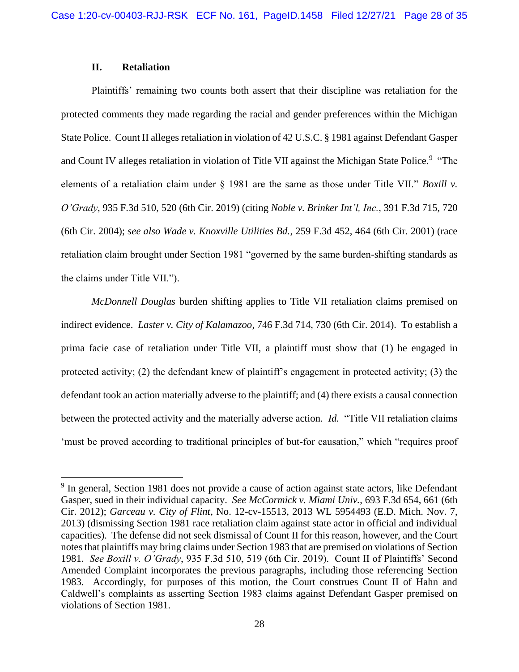# **II. Retaliation**

Plaintiffs' remaining two counts both assert that their discipline was retaliation for the protected comments they made regarding the racial and gender preferences within the Michigan State Police. Count II alleges retaliation in violation of 42 U.S.C. § 1981 against Defendant Gasper and Count IV alleges retaliation in violation of Title VII against the Michigan State Police.<sup>9</sup> "The elements of a retaliation claim under § 1981 are the same as those under Title VII." *Boxill v. O'Grady*, 935 F.3d 510, 520 (6th Cir. 2019) (citing *Noble v. Brinker Int'l, Inc.*, 391 F.3d 715, 720 (6th Cir. 2004); *see also Wade v. Knoxville Utilities Bd.*, 259 F.3d 452, 464 (6th Cir. 2001) (race retaliation claim brought under Section 1981 "governed by the same burden-shifting standards as the claims under Title VII.").

*McDonnell Douglas* burden shifting applies to Title VII retaliation claims premised on indirect evidence. *Laster v. City of Kalamazoo*, 746 F.3d 714, 730 (6th Cir. 2014). To establish a prima facie case of retaliation under Title VII, a plaintiff must show that (1) he engaged in protected activity; (2) the defendant knew of plaintiff's engagement in protected activity; (3) the defendant took an action materially adverse to the plaintiff; and (4) there exists a causal connection between the protected activity and the materially adverse action. *Id.* "Title VII retaliation claims 'must be proved according to traditional principles of but-for causation," which "requires proof

<sup>&</sup>lt;sup>9</sup> In general, Section 1981 does not provide a cause of action against state actors, like Defendant Gasper, sued in their individual capacity. *See McCormick v. Miami Univ.*, 693 F.3d 654, 661 (6th Cir. 2012); *Garceau v. City of Flint*, No. 12-cv-15513, 2013 WL 5954493 (E.D. Mich. Nov. 7, 2013) (dismissing Section 1981 race retaliation claim against state actor in official and individual capacities). The defense did not seek dismissal of Count II for this reason, however, and the Court notes that plaintiffs may bring claims under Section 1983 that are premised on violations of Section 1981. *See Boxill v. O'Grady*, 935 F.3d 510, 519 (6th Cir. 2019). Count II of Plaintiffs' Second Amended Complaint incorporates the previous paragraphs, including those referencing Section 1983. Accordingly, for purposes of this motion, the Court construes Count II of Hahn and Caldwell's complaints as asserting Section 1983 claims against Defendant Gasper premised on violations of Section 1981.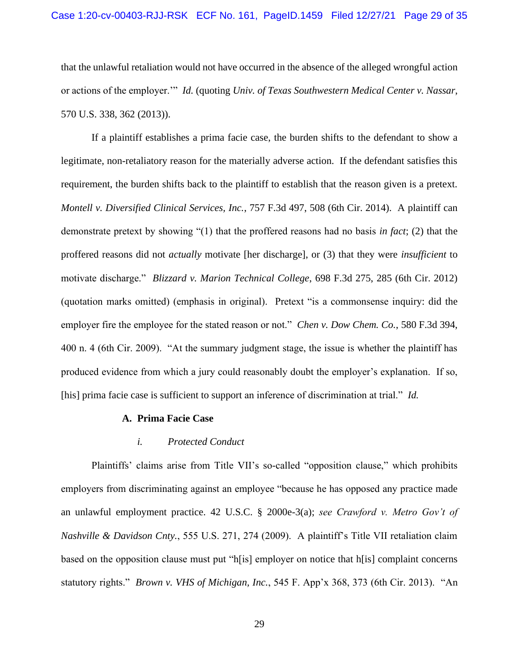that the unlawful retaliation would not have occurred in the absence of the alleged wrongful action or actions of the employer.'" *Id.* (quoting *Univ. of Texas Southwestern Medical Center v. Nassar*, 570 U.S. 338, 362 (2013)).

If a plaintiff establishes a prima facie case, the burden shifts to the defendant to show a legitimate, non-retaliatory reason for the materially adverse action. If the defendant satisfies this requirement, the burden shifts back to the plaintiff to establish that the reason given is a pretext. *Montell v. Diversified Clinical Services, Inc.*, 757 F.3d 497, 508 (6th Cir. 2014). A plaintiff can demonstrate pretext by showing "(1) that the proffered reasons had no basis *in fact*; (2) that the proffered reasons did not *actually* motivate [her discharge], or (3) that they were *insufficient* to motivate discharge." *Blizzard v. Marion Technical College*, 698 F.3d 275, 285 (6th Cir. 2012) (quotation marks omitted) (emphasis in original). Pretext "is a commonsense inquiry: did the employer fire the employee for the stated reason or not." *Chen v. Dow Chem. Co.*, 580 F.3d 394, 400 n. 4 (6th Cir. 2009). "At the summary judgment stage, the issue is whether the plaintiff has produced evidence from which a jury could reasonably doubt the employer's explanation. If so, [his] prima facie case is sufficient to support an inference of discrimination at trial." *Id.*

## **A. Prima Facie Case**

### *i. Protected Conduct*

Plaintiffs' claims arise from Title VII's so-called "opposition clause," which prohibits employers from discriminating against an employee "because he has opposed any practice made an unlawful employment practice. 42 U.S.C. § 2000e-3(a); *see Crawford v. Metro Gov't of Nashville & Davidson Cnty.*, 555 U.S. 271, 274 (2009). A plaintiff's Title VII retaliation claim based on the opposition clause must put "h[is] employer on notice that h[is] complaint concerns statutory rights." *Brown v. VHS of Michigan, Inc.*, 545 F. App'x 368, 373 (6th Cir. 2013). "An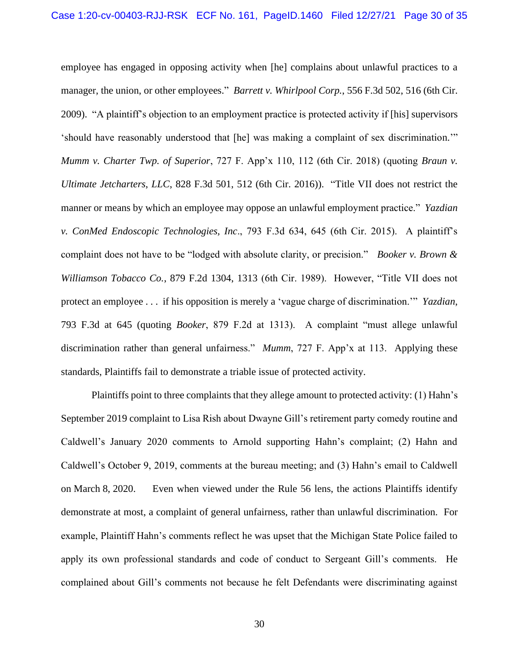employee has engaged in opposing activity when [he] complains about unlawful practices to a manager, the union, or other employees." *Barrett v. Whirlpool Corp.*, 556 F.3d 502, 516 (6th Cir. 2009). "A plaintiff's objection to an employment practice is protected activity if [his] supervisors 'should have reasonably understood that [he] was making a complaint of sex discrimination.'" *Mumm v. Charter Twp. of Superior*, 727 F. App'x 110, 112 (6th Cir. 2018) (quoting *Braun v. Ultimate Jetcharters*, *LLC*, 828 F.3d 501, 512 (6th Cir. 2016)). "Title VII does not restrict the manner or means by which an employee may oppose an unlawful employment practice." *Yazdian v. ConMed Endoscopic Technologies, Inc*., 793 F.3d 634, 645 (6th Cir. 2015). A plaintiff's complaint does not have to be "lodged with absolute clarity, or precision." *Booker v. Brown & Williamson Tobacco Co.*, 879 F.2d 1304, 1313 (6th Cir. 1989). However, "Title VII does not protect an employee . . . if his opposition is merely a 'vague charge of discrimination.'" *Yazdian*, 793 F.3d at 645 (quoting *Booker*, 879 F.2d at 1313). A complaint "must allege unlawful discrimination rather than general unfairness." *Mumm*, 727 F. App'x at 113. Applying these standards, Plaintiffs fail to demonstrate a triable issue of protected activity.

Plaintiffs point to three complaints that they allege amount to protected activity: (1) Hahn's September 2019 complaint to Lisa Rish about Dwayne Gill's retirement party comedy routine and Caldwell's January 2020 comments to Arnold supporting Hahn's complaint; (2) Hahn and Caldwell's October 9, 2019, comments at the bureau meeting; and (3) Hahn's email to Caldwell on March 8, 2020. Even when viewed under the Rule 56 lens, the actions Plaintiffs identify demonstrate at most, a complaint of general unfairness, rather than unlawful discrimination. For example, Plaintiff Hahn's comments reflect he was upset that the Michigan State Police failed to apply its own professional standards and code of conduct to Sergeant Gill's comments. He complained about Gill's comments not because he felt Defendants were discriminating against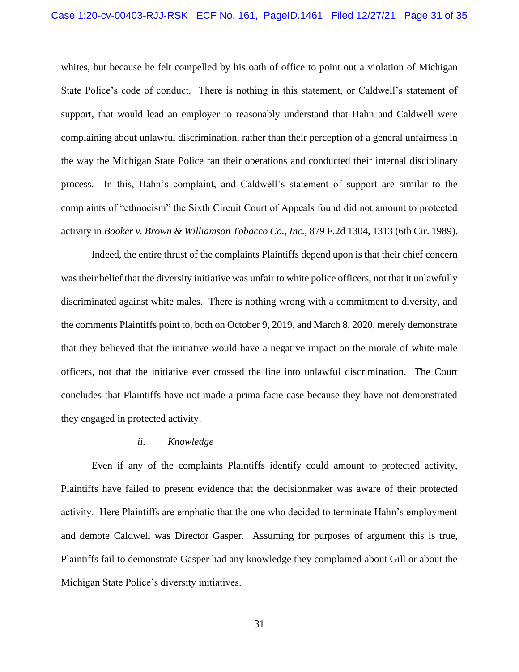whites, but because he felt compelled by his oath of office to point out a violation of Michigan State Police's code of conduct. There is nothing in this statement, or Caldwell's statement of support, that would lead an employer to reasonably understand that Hahn and Caldwell were complaining about unlawful discrimination, rather than their perception of a general unfairness in the way the Michigan State Police ran their operations and conducted their internal disciplinary process. In this, Hahn's complaint, and Caldwell's statement of support are similar to the complaints of "ethnocism" the Sixth Circuit Court of Appeals found did not amount to protected activity in *Booker v. Brown & Williamson Tobacco Co.*, *Inc.*, 879 F.2d 1304, 1313 (6th Cir. 1989).

Indeed, the entire thrust of the complaints Plaintiffs depend upon is that their chief concern was their belief that the diversity initiative was unfair to white police officers, not that it unlawfully discriminated against white males. There is nothing wrong with a commitment to diversity, and the comments Plaintiffs point to, both on October 9, 2019, and March 8, 2020, merely demonstrate that they believed that the initiative would have a negative impact on the morale of white male officers, not that the initiative ever crossed the line into unlawful discrimination. The Court concludes that Plaintiffs have not made a prima facie case because they have not demonstrated they engaged in protected activity.

#### *ii. Knowledge*

Even if any of the complaints Plaintiffs identify could amount to protected activity, Plaintiffs have failed to present evidence that the decisionmaker was aware of their protected activity. Here Plaintiffs are emphatic that the one who decided to terminate Hahn's employment and demote Caldwell was Director Gasper. Assuming for purposes of argument this is true, Plaintiffs fail to demonstrate Gasper had any knowledge they complained about Gill or about the Michigan State Police's diversity initiatives.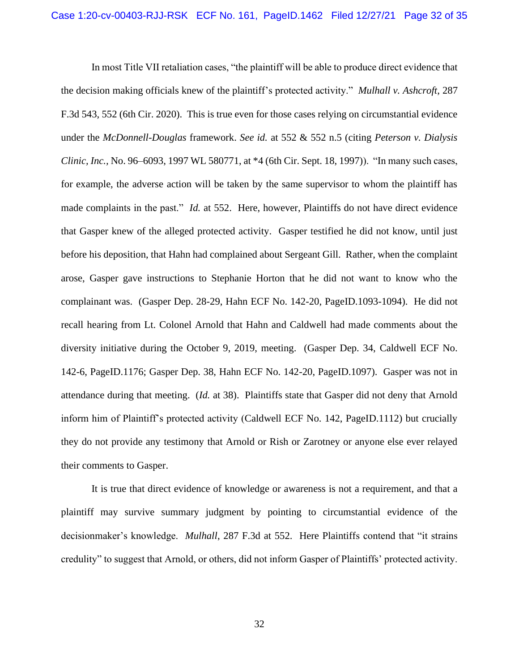In most Title VII retaliation cases, "the plaintiff will be able to produce direct evidence that the decision making officials knew of the plaintiff's protected activity." *Mulhall v. Ashcroft*, 287 F.3d 543, 552 (6th Cir. 2020). This is true even for those cases relying on circumstantial evidence under the *McDonnell-Douglas* framework. *See id.* at 552 & 552 n.5 (citing *Peterson v. Dialysis Clinic, Inc.,* No. 96–6093, 1997 WL 580771, at \*4 (6th Cir. Sept. 18, 1997)). "In many such cases, for example, the adverse action will be taken by the same supervisor to whom the plaintiff has made complaints in the past." *Id.* at 552. Here, however, Plaintiffs do not have direct evidence that Gasper knew of the alleged protected activity. Gasper testified he did not know, until just before his deposition, that Hahn had complained about Sergeant Gill. Rather, when the complaint arose, Gasper gave instructions to Stephanie Horton that he did not want to know who the complainant was. (Gasper Dep. 28-29, Hahn ECF No. 142-20, PageID.1093-1094). He did not recall hearing from Lt. Colonel Arnold that Hahn and Caldwell had made comments about the diversity initiative during the October 9, 2019, meeting. (Gasper Dep. 34, Caldwell ECF No. 142-6, PageID.1176; Gasper Dep. 38, Hahn ECF No. 142-20, PageID.1097). Gasper was not in attendance during that meeting. (*Id.* at 38). Plaintiffs state that Gasper did not deny that Arnold inform him of Plaintiff's protected activity (Caldwell ECF No. 142, PageID.1112) but crucially they do not provide any testimony that Arnold or Rish or Zarotney or anyone else ever relayed their comments to Gasper.

It is true that direct evidence of knowledge or awareness is not a requirement, and that a plaintiff may survive summary judgment by pointing to circumstantial evidence of the decisionmaker's knowledge. *Mulhall*, 287 F.3d at 552. Here Plaintiffs contend that "it strains credulity" to suggest that Arnold, or others, did not inform Gasper of Plaintiffs' protected activity.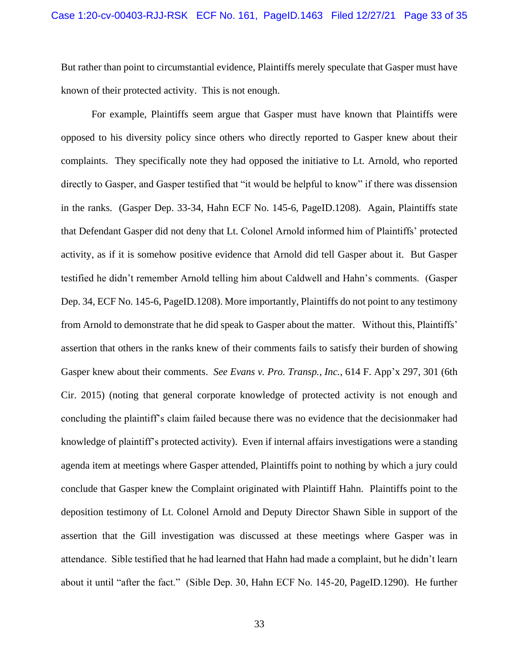But rather than point to circumstantial evidence, Plaintiffs merely speculate that Gasper must have known of their protected activity. This is not enough.

For example, Plaintiffs seem argue that Gasper must have known that Plaintiffs were opposed to his diversity policy since others who directly reported to Gasper knew about their complaints. They specifically note they had opposed the initiative to Lt. Arnold, who reported directly to Gasper, and Gasper testified that "it would be helpful to know" if there was dissension in the ranks. (Gasper Dep. 33-34, Hahn ECF No. 145-6, PageID.1208). Again, Plaintiffs state that Defendant Gasper did not deny that Lt. Colonel Arnold informed him of Plaintiffs' protected activity, as if it is somehow positive evidence that Arnold did tell Gasper about it. But Gasper testified he didn't remember Arnold telling him about Caldwell and Hahn's comments. (Gasper Dep. 34, ECF No. 145-6, PageID.1208). More importantly, Plaintiffs do not point to any testimony from Arnold to demonstrate that he did speak to Gasper about the matter. Without this, Plaintiffs' assertion that others in the ranks knew of their comments fails to satisfy their burden of showing Gasper knew about their comments. *See Evans v. Pro. Transp., Inc.*, 614 F. App'x 297, 301 (6th Cir. 2015) (noting that general corporate knowledge of protected activity is not enough and concluding the plaintiff's claim failed because there was no evidence that the decisionmaker had knowledge of plaintiff's protected activity). Even if internal affairs investigations were a standing agenda item at meetings where Gasper attended, Plaintiffs point to nothing by which a jury could conclude that Gasper knew the Complaint originated with Plaintiff Hahn. Plaintiffs point to the deposition testimony of Lt. Colonel Arnold and Deputy Director Shawn Sible in support of the assertion that the Gill investigation was discussed at these meetings where Gasper was in attendance. Sible testified that he had learned that Hahn had made a complaint, but he didn't learn about it until "after the fact." (Sible Dep. 30, Hahn ECF No. 145-20, PageID.1290). He further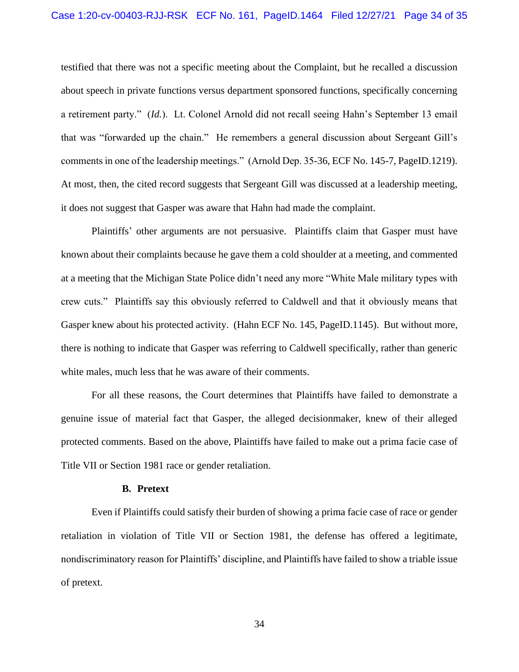testified that there was not a specific meeting about the Complaint, but he recalled a discussion about speech in private functions versus department sponsored functions, specifically concerning a retirement party." (*Id.*). Lt. Colonel Arnold did not recall seeing Hahn's September 13 email that was "forwarded up the chain." He remembers a general discussion about Sergeant Gill's comments in one of the leadership meetings." (Arnold Dep. 35-36, ECF No. 145-7, PageID.1219). At most, then, the cited record suggests that Sergeant Gill was discussed at a leadership meeting, it does not suggest that Gasper was aware that Hahn had made the complaint.

Plaintiffs' other arguments are not persuasive. Plaintiffs claim that Gasper must have known about their complaints because he gave them a cold shoulder at a meeting, and commented at a meeting that the Michigan State Police didn't need any more "White Male military types with crew cuts." Plaintiffs say this obviously referred to Caldwell and that it obviously means that Gasper knew about his protected activity. (Hahn ECF No. 145, PageID.1145). But without more, there is nothing to indicate that Gasper was referring to Caldwell specifically, rather than generic white males, much less that he was aware of their comments.

For all these reasons, the Court determines that Plaintiffs have failed to demonstrate a genuine issue of material fact that Gasper, the alleged decisionmaker, knew of their alleged protected comments. Based on the above, Plaintiffs have failed to make out a prima facie case of Title VII or Section 1981 race or gender retaliation.

#### **B. Pretext**

Even if Plaintiffs could satisfy their burden of showing a prima facie case of race or gender retaliation in violation of Title VII or Section 1981, the defense has offered a legitimate, nondiscriminatory reason for Plaintiffs' discipline, and Plaintiffs have failed to show a triable issue of pretext.

34